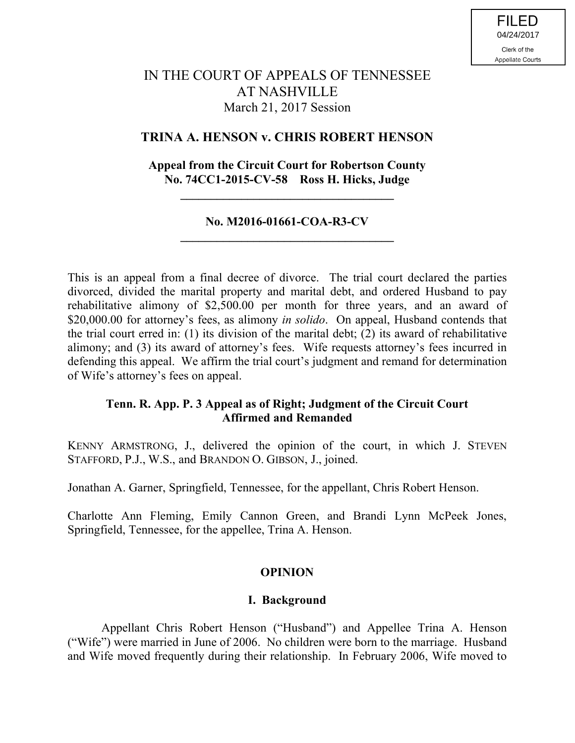# IN THE COURT OF APPEALS OF TENNESSEE AT NASHVILLE March 21, 2017 Session

# **TRINA A. HENSON v. CHRIS ROBERT HENSON**

# **Appeal from the Circuit Court for Robertson County No. 74CC1-2015-CV-58 Ross H. Hicks, Judge**

**\_\_\_\_\_\_\_\_\_\_\_\_\_\_\_\_\_\_\_\_\_\_\_\_\_\_\_\_\_\_\_\_\_\_\_**

# **No. M2016-01661-COA-R3-CV \_\_\_\_\_\_\_\_\_\_\_\_\_\_\_\_\_\_\_\_\_\_\_\_\_\_\_\_\_\_\_\_\_\_\_**

This is an appeal from a final decree of divorce. The trial court declared the parties divorced, divided the marital property and marital debt, and ordered Husband to pay rehabilitative alimony of \$2,500.00 per month for three years, and an award of \$20,000.00 for attorney's fees, as alimony *in solido*. On appeal, Husband contends that the trial court erred in: (1) its division of the marital debt; (2) its award of rehabilitative alimony; and (3) its award of attorney's fees. Wife requests attorney's fees incurred in defending this appeal. We affirm the trial court's judgment and remand for determination of Wife's attorney's fees on appeal.

# **Tenn. R. App. P. 3 Appeal as of Right; Judgment of the Circuit Court Affirmed and Remanded**

KENNY ARMSTRONG, J., delivered the opinion of the court, in which J. STEVEN STAFFORD, P.J., W.S., and BRANDON O. GIBSON, J., joined.

Jonathan A. Garner, Springfield, Tennessee, for the appellant, Chris Robert Henson.

Charlotte Ann Fleming, Emily Cannon Green, and Brandi Lynn McPeek Jones, Springfield, Tennessee, for the appellee, Trina A. Henson.

### **OPINION**

### **I. Background**

Appellant Chris Robert Henson ("Husband") and Appellee Trina A. Henson ("Wife") were married in June of 2006. No children were born to the marriage. Husband and Wife moved frequently during their relationship. In February 2006, Wife moved to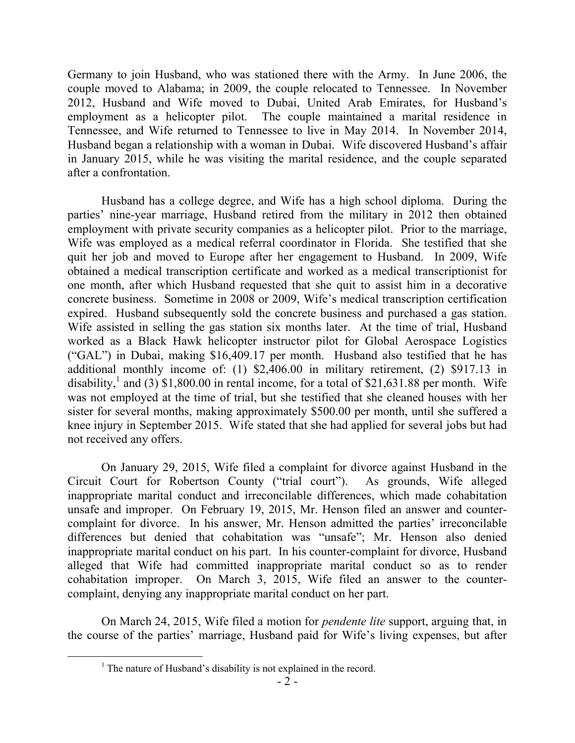Germany to join Husband, who was stationed there with the Army. In June 2006, the couple moved to Alabama; in 2009, the couple relocated to Tennessee. In November 2012, Husband and Wife moved to Dubai, United Arab Emirates, for Husband's employment as a helicopter pilot. The couple maintained a marital residence in Tennessee, and Wife returned to Tennessee to live in May 2014. In November 2014, Husband began a relationship with a woman in Dubai. Wife discovered Husband's affair in January 2015, while he was visiting the marital residence, and the couple separated after a confrontation.

Husband has a college degree, and Wife has a high school diploma. During the parties' nine-year marriage, Husband retired from the military in 2012 then obtained employment with private security companies as a helicopter pilot. Prior to the marriage, Wife was employed as a medical referral coordinator in Florida. She testified that she quit her job and moved to Europe after her engagement to Husband. In 2009, Wife obtained a medical transcription certificate and worked as a medical transcriptionist for one month, after which Husband requested that she quit to assist him in a decorative concrete business. Sometime in 2008 or 2009, Wife's medical transcription certification expired. Husband subsequently sold the concrete business and purchased a gas station. Wife assisted in selling the gas station six months later. At the time of trial, Husband worked as a Black Hawk helicopter instructor pilot for Global Aerospace Logistics ("GAL") in Dubai, making \$16,409.17 per month. Husband also testified that he has additional monthly income of: (1) \$2,406.00 in military retirement, (2) \$917.13 in disability,<sup>1</sup> and (3) \$1,800.00 in rental income, for a total of \$21,631.88 per month. Wife was not employed at the time of trial, but she testified that she cleaned houses with her sister for several months, making approximately \$500.00 per month, until she suffered a knee injury in September 2015. Wife stated that she had applied for several jobs but had not received any offers.

On January 29, 2015, Wife filed a complaint for divorce against Husband in the Circuit Court for Robertson County ("trial court"). As grounds, Wife alleged inappropriate marital conduct and irreconcilable differences, which made cohabitation unsafe and improper. On February 19, 2015, Mr. Henson filed an answer and countercomplaint for divorce. In his answer, Mr. Henson admitted the parties' irreconcilable differences but denied that cohabitation was "unsafe"; Mr. Henson also denied inappropriate marital conduct on his part. In his counter-complaint for divorce, Husband alleged that Wife had committed inappropriate marital conduct so as to render cohabitation improper. On March 3, 2015, Wife filed an answer to the countercomplaint, denying any inappropriate marital conduct on her part.

On March 24, 2015, Wife filed a motion for *pendente lite* support, arguing that, in the course of the parties' marriage, Husband paid for Wife's living expenses, but after

 $\overline{a}$ 

<sup>&</sup>lt;sup>1</sup> The nature of Husband's disability is not explained in the record.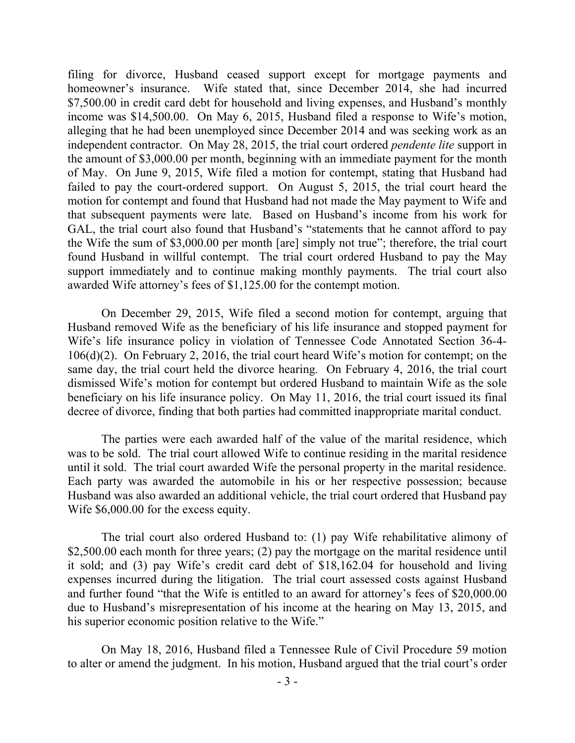filing for divorce, Husband ceased support except for mortgage payments and homeowner's insurance. Wife stated that, since December 2014, she had incurred \$7,500.00 in credit card debt for household and living expenses, and Husband's monthly income was \$14,500.00. On May 6, 2015, Husband filed a response to Wife's motion, alleging that he had been unemployed since December 2014 and was seeking work as an independent contractor. On May 28, 2015, the trial court ordered *pendente lite* support in the amount of \$3,000.00 per month, beginning with an immediate payment for the month of May. On June 9, 2015, Wife filed a motion for contempt, stating that Husband had failed to pay the court-ordered support. On August 5, 2015, the trial court heard the motion for contempt and found that Husband had not made the May payment to Wife and that subsequent payments were late. Based on Husband's income from his work for GAL, the trial court also found that Husband's "statements that he cannot afford to pay the Wife the sum of \$3,000.00 per month [are] simply not true"; therefore, the trial court found Husband in willful contempt. The trial court ordered Husband to pay the May support immediately and to continue making monthly payments. The trial court also awarded Wife attorney's fees of \$1,125.00 for the contempt motion.

On December 29, 2015, Wife filed a second motion for contempt, arguing that Husband removed Wife as the beneficiary of his life insurance and stopped payment for Wife's life insurance policy in violation of Tennessee Code Annotated Section 36-4- 106(d)(2). On February 2, 2016, the trial court heard Wife's motion for contempt; on the same day, the trial court held the divorce hearing. On February 4, 2016, the trial court dismissed Wife's motion for contempt but ordered Husband to maintain Wife as the sole beneficiary on his life insurance policy. On May 11, 2016, the trial court issued its final decree of divorce, finding that both parties had committed inappropriate marital conduct.

The parties were each awarded half of the value of the marital residence, which was to be sold. The trial court allowed Wife to continue residing in the marital residence until it sold. The trial court awarded Wife the personal property in the marital residence. Each party was awarded the automobile in his or her respective possession; because Husband was also awarded an additional vehicle, the trial court ordered that Husband pay Wife \$6,000.00 for the excess equity.

The trial court also ordered Husband to: (1) pay Wife rehabilitative alimony of \$2,500.00 each month for three years; (2) pay the mortgage on the marital residence until it sold; and (3) pay Wife's credit card debt of \$18,162.04 for household and living expenses incurred during the litigation. The trial court assessed costs against Husband and further found "that the Wife is entitled to an award for attorney's fees of \$20,000.00 due to Husband's misrepresentation of his income at the hearing on May 13, 2015, and his superior economic position relative to the Wife."

On May 18, 2016, Husband filed a Tennessee Rule of Civil Procedure 59 motion to alter or amend the judgment. In his motion, Husband argued that the trial court's order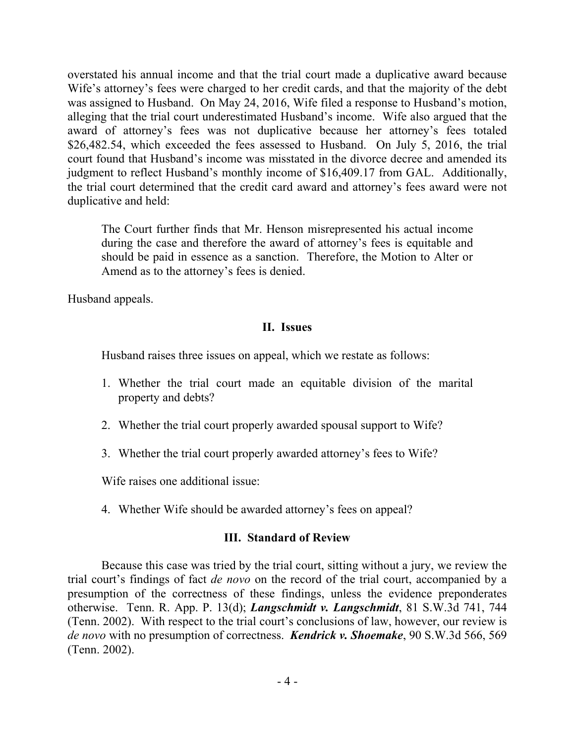overstated his annual income and that the trial court made a duplicative award because Wife's attorney's fees were charged to her credit cards, and that the majority of the debt was assigned to Husband. On May 24, 2016, Wife filed a response to Husband's motion, alleging that the trial court underestimated Husband's income. Wife also argued that the award of attorney's fees was not duplicative because her attorney's fees totaled \$26,482.54, which exceeded the fees assessed to Husband. On July 5, 2016, the trial court found that Husband's income was misstated in the divorce decree and amended its judgment to reflect Husband's monthly income of \$16,409.17 from GAL. Additionally, the trial court determined that the credit card award and attorney's fees award were not duplicative and held:

The Court further finds that Mr. Henson misrepresented his actual income during the case and therefore the award of attorney's fees is equitable and should be paid in essence as a sanction. Therefore, the Motion to Alter or Amend as to the attorney's fees is denied.

Husband appeals.

### **II. Issues**

Husband raises three issues on appeal, which we restate as follows:

- 1. Whether the trial court made an equitable division of the marital property and debts?
- 2. Whether the trial court properly awarded spousal support to Wife?
- 3. Whether the trial court properly awarded attorney's fees to Wife?

Wife raises one additional issue:

4. Whether Wife should be awarded attorney's fees on appeal?

# **III. Standard of Review**

Because this case was tried by the trial court, sitting without a jury, we review the trial court's findings of fact *de novo* on the record of the trial court, accompanied by a presumption of the correctness of these findings, unless the evidence preponderates otherwise. Tenn. R. App. P. 13(d); *Langschmidt v. Langschmidt*, 81 S.W.3d 741, 744 (Tenn. 2002). With respect to the trial court's conclusions of law, however, our review is *de novo* with no presumption of correctness. *Kendrick v. Shoemake*, 90 S.W.3d 566, 569 (Tenn. 2002).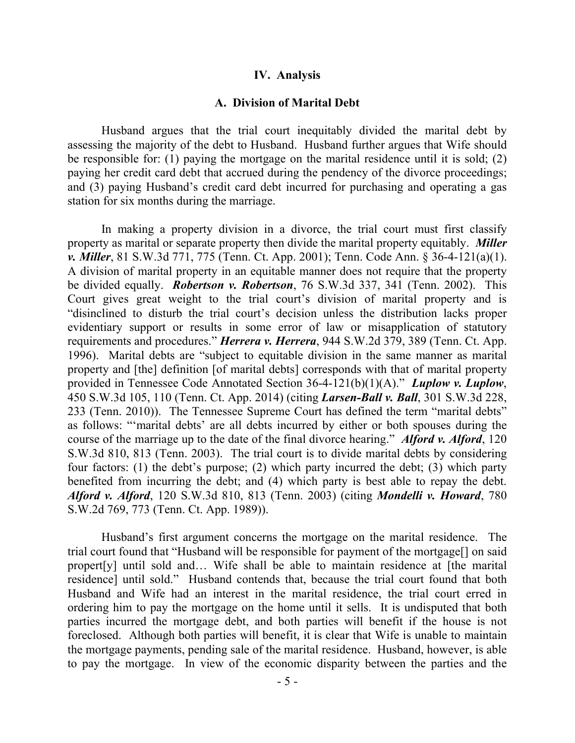#### **IV. Analysis**

#### **A. Division of Marital Debt**

Husband argues that the trial court inequitably divided the marital debt by assessing the majority of the debt to Husband. Husband further argues that Wife should be responsible for: (1) paying the mortgage on the marital residence until it is sold; (2) paying her credit card debt that accrued during the pendency of the divorce proceedings; and (3) paying Husband's credit card debt incurred for purchasing and operating a gas station for six months during the marriage.

In making a property division in a divorce, the trial court must first classify property as marital or separate property then divide the marital property equitably. *Miller v. Miller*, 81 S.W.3d 771, 775 (Tenn. Ct. App. 2001); Tenn. Code Ann. § 36-4-121(a)(1). A division of marital property in an equitable manner does not require that the property be divided equally. *Robertson v. Robertson*, 76 S.W.3d 337, 341 (Tenn. 2002). This Court gives great weight to the trial court's division of marital property and is "disinclined to disturb the trial court's decision unless the distribution lacks proper evidentiary support or results in some error of law or misapplication of statutory requirements and procedures." *Herrera v. Herrera*, 944 S.W.2d 379, 389 (Tenn. Ct. App. 1996). Marital debts are "subject to equitable division in the same manner as marital property and [the] definition [of marital debts] corresponds with that of marital property provided in Tennessee Code Annotated Section 36-4-121(b)(1)(A)." *Luplow v. Luplow*, 450 S.W.3d 105, 110 (Tenn. Ct. App. 2014) (citing *Larsen-Ball v. Ball*, 301 S.W.3d 228, 233 (Tenn. 2010)). The Tennessee Supreme Court has defined the term "marital debts" as follows: "'marital debts' are all debts incurred by either or both spouses during the course of the marriage up to the date of the final divorce hearing." *Alford v. Alford*, 120 S.W.3d 810, 813 (Tenn. 2003). The trial court is to divide marital debts by considering four factors: (1) the debt's purpose; (2) which party incurred the debt; (3) which party benefited from incurring the debt; and (4) which party is best able to repay the debt. *Alford v. Alford*, 120 S.W.3d 810, 813 (Tenn. 2003) (citing *Mondelli v. Howard*, 780 S.W.2d 769, 773 (Tenn. Ct. App. 1989)).

Husband's first argument concerns the mortgage on the marital residence. The trial court found that "Husband will be responsible for payment of the mortgage[] on said propert[y] until sold and… Wife shall be able to maintain residence at [the marital residence] until sold." Husband contends that, because the trial court found that both Husband and Wife had an interest in the marital residence, the trial court erred in ordering him to pay the mortgage on the home until it sells. It is undisputed that both parties incurred the mortgage debt, and both parties will benefit if the house is not foreclosed. Although both parties will benefit, it is clear that Wife is unable to maintain the mortgage payments, pending sale of the marital residence. Husband, however, is able to pay the mortgage. In view of the economic disparity between the parties and the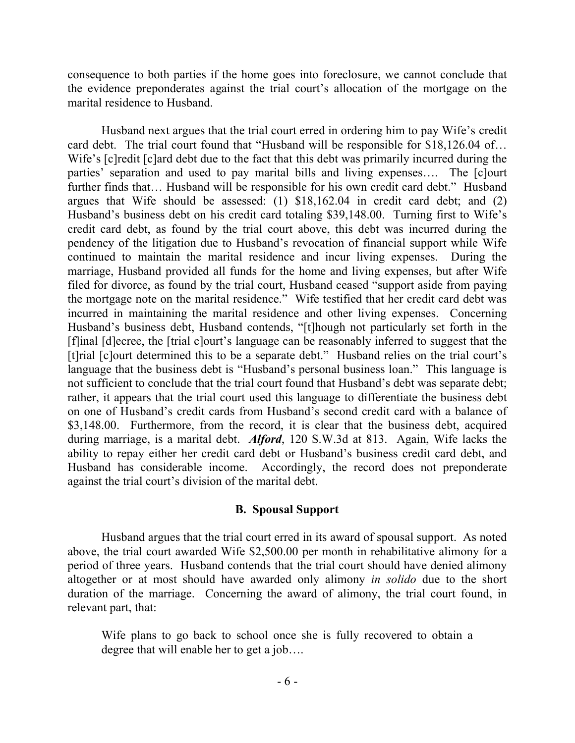consequence to both parties if the home goes into foreclosure, we cannot conclude that the evidence preponderates against the trial court's allocation of the mortgage on the marital residence to Husband.

Husband next argues that the trial court erred in ordering him to pay Wife's credit card debt. The trial court found that "Husband will be responsible for \$18,126.04 of… Wife's [c]redit [c]ard debt due to the fact that this debt was primarily incurred during the parties' separation and used to pay marital bills and living expenses…. The [c]ourt further finds that… Husband will be responsible for his own credit card debt." Husband argues that Wife should be assessed: (1) \$18,162.04 in credit card debt; and (2) Husband's business debt on his credit card totaling \$39,148.00. Turning first to Wife's credit card debt, as found by the trial court above, this debt was incurred during the pendency of the litigation due to Husband's revocation of financial support while Wife continued to maintain the marital residence and incur living expenses. During the marriage, Husband provided all funds for the home and living expenses, but after Wife filed for divorce, as found by the trial court, Husband ceased "support aside from paying the mortgage note on the marital residence." Wife testified that her credit card debt was incurred in maintaining the marital residence and other living expenses. Concerning Husband's business debt, Husband contends, "[t]hough not particularly set forth in the [f]inal [d]ecree, the [trial c]ourt's language can be reasonably inferred to suggest that the [t]rial [c]ourt determined this to be a separate debt." Husband relies on the trial court's language that the business debt is "Husband's personal business loan." This language is not sufficient to conclude that the trial court found that Husband's debt was separate debt; rather, it appears that the trial court used this language to differentiate the business debt on one of Husband's credit cards from Husband's second credit card with a balance of \$3,148.00. Furthermore, from the record, it is clear that the business debt, acquired during marriage, is a marital debt. *Alford*, 120 S.W.3d at 813. Again, Wife lacks the ability to repay either her credit card debt or Husband's business credit card debt, and Husband has considerable income. Accordingly, the record does not preponderate against the trial court's division of the marital debt.

#### **B. Spousal Support**

Husband argues that the trial court erred in its award of spousal support. As noted above, the trial court awarded Wife \$2,500.00 per month in rehabilitative alimony for a period of three years. Husband contends that the trial court should have denied alimony altogether or at most should have awarded only alimony *in solido* due to the short duration of the marriage. Concerning the award of alimony, the trial court found, in relevant part, that:

Wife plans to go back to school once she is fully recovered to obtain a degree that will enable her to get a job….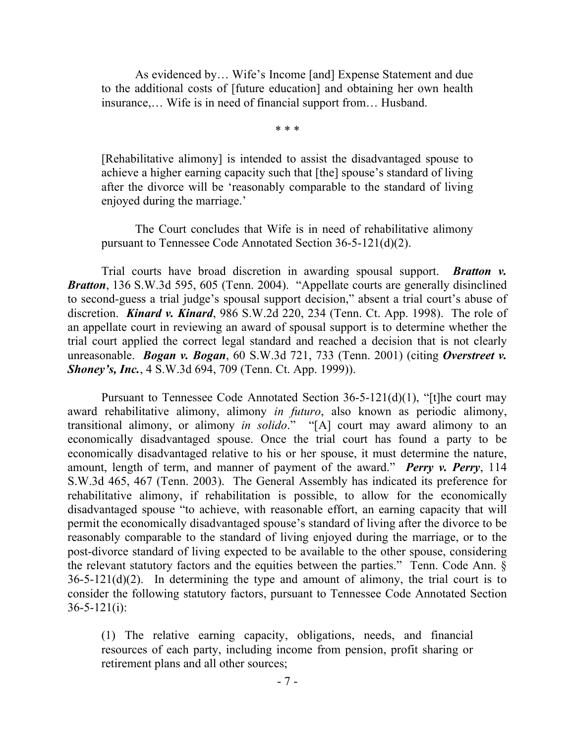As evidenced by… Wife's Income [and] Expense Statement and due to the additional costs of [future education] and obtaining her own health insurance,… Wife is in need of financial support from… Husband.

\* \* \*

[Rehabilitative alimony] is intended to assist the disadvantaged spouse to achieve a higher earning capacity such that [the] spouse's standard of living after the divorce will be 'reasonably comparable to the standard of living enjoyed during the marriage.'

The Court concludes that Wife is in need of rehabilitative alimony pursuant to Tennessee Code Annotated Section 36-5-121(d)(2).

Trial courts have broad discretion in awarding spousal support. *Bratton v. Bratton*, 136 S.W.3d 595, 605 (Tenn. 2004). "Appellate courts are generally disinclined to second-guess a trial judge's spousal support decision," absent a trial court's abuse of discretion. *Kinard v. Kinard*, 986 S.W.2d 220, 234 (Tenn. Ct. App. 1998). The role of an appellate court in reviewing an award of spousal support is to determine whether the trial court applied the correct legal standard and reached a decision that is not clearly unreasonable. *Bogan v. Bogan*, 60 S.W.3d 721, 733 (Tenn. 2001) (citing *Overstreet v. Shoney's, Inc.*, 4 S.W.3d 694, 709 (Tenn. Ct. App. 1999)).

Pursuant to Tennessee Code Annotated Section 36-5-121(d)(1), "[t]he court may award rehabilitative alimony, alimony *in futuro*, also known as periodic alimony, transitional alimony, or alimony *in solido*." "[A] court may award alimony to an economically disadvantaged spouse. Once the trial court has found a party to be economically disadvantaged relative to his or her spouse, it must determine the nature, amount, length of term, and manner of payment of the award." *Perry v. Perry*, 114 S.W.3d 465, 467 (Tenn. 2003). The General Assembly has indicated its preference for rehabilitative alimony, if rehabilitation is possible, to allow for the economically disadvantaged spouse "to achieve, with reasonable effort, an earning capacity that will permit the economically disadvantaged spouse's standard of living after the divorce to be reasonably comparable to the standard of living enjoyed during the marriage, or to the post-divorce standard of living expected to be available to the other spouse, considering the relevant statutory factors and the equities between the parties." Tenn. Code Ann. §  $36-5-121(d)(2)$ . In determining the type and amount of alimony, the trial court is to consider the following statutory factors, pursuant to Tennessee Code Annotated Section  $36 - 5 - 121(i)$ :

(1) The relative earning capacity, obligations, needs, and financial resources of each party, including income from pension, profit sharing or retirement plans and all other sources;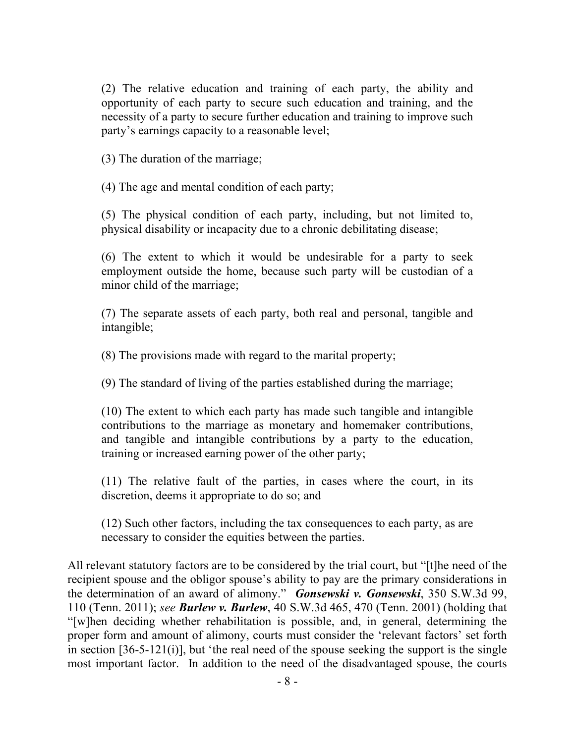(2) The relative education and training of each party, the ability and opportunity of each party to secure such education and training, and the necessity of a party to secure further education and training to improve such party's earnings capacity to a reasonable level;

(3) The duration of the marriage;

(4) The age and mental condition of each party;

(5) The physical condition of each party, including, but not limited to, physical disability or incapacity due to a chronic debilitating disease;

(6) The extent to which it would be undesirable for a party to seek employment outside the home, because such party will be custodian of a minor child of the marriage;

(7) The separate assets of each party, both real and personal, tangible and intangible;

(8) The provisions made with regard to the marital property;

(9) The standard of living of the parties established during the marriage;

(10) The extent to which each party has made such tangible and intangible contributions to the marriage as monetary and homemaker contributions, and tangible and intangible contributions by a party to the education, training or increased earning power of the other party;

(11) The relative fault of the parties, in cases where the court, in its discretion, deems it appropriate to do so; and

(12) Such other factors, including the tax consequences to each party, as are necessary to consider the equities between the parties.

All relevant statutory factors are to be considered by the trial court, but "[t]he need of the recipient spouse and the obligor spouse's ability to pay are the primary considerations in the determination of an award of alimony." *Gonsewski v. Gonsewski*, 350 S.W.3d 99, 110 (Tenn. 2011); *see Burlew v. Burlew*, 40 S.W.3d 465, 470 (Tenn. 2001) (holding that "[w]hen deciding whether rehabilitation is possible, and, in general, determining the proper form and amount of alimony, courts must consider the 'relevant factors' set forth in section [36-5-121(i)], but 'the real need of the spouse seeking the support is the single most important factor. In addition to the need of the disadvantaged spouse, the courts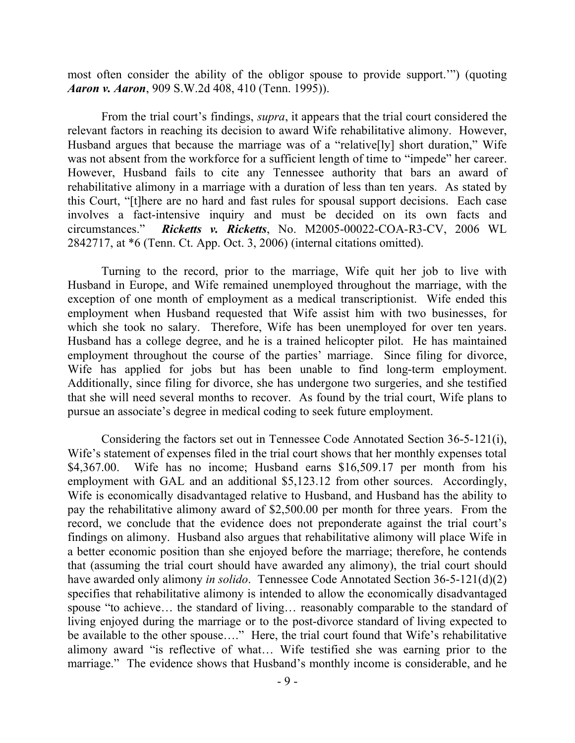most often consider the ability of the obligor spouse to provide support.'") (quoting *Aaron v. Aaron*, 909 S.W.2d 408, 410 (Tenn. 1995)).

From the trial court's findings, *supra*, it appears that the trial court considered the relevant factors in reaching its decision to award Wife rehabilitative alimony. However, Husband argues that because the marriage was of a "relative[ly] short duration," Wife was not absent from the workforce for a sufficient length of time to "impede" her career. However, Husband fails to cite any Tennessee authority that bars an award of rehabilitative alimony in a marriage with a duration of less than ten years. As stated by this Court, "[t]here are no hard and fast rules for spousal support decisions. Each case involves a fact-intensive inquiry and must be decided on its own facts and circumstances." *Ricketts v. Ricketts*, No. M2005-00022-COA-R3-CV, 2006 WL 2842717, at \*6 (Tenn. Ct. App. Oct. 3, 2006) (internal citations omitted).

Turning to the record, prior to the marriage, Wife quit her job to live with Husband in Europe, and Wife remained unemployed throughout the marriage, with the exception of one month of employment as a medical transcriptionist. Wife ended this employment when Husband requested that Wife assist him with two businesses, for which she took no salary. Therefore, Wife has been unemployed for over ten years. Husband has a college degree, and he is a trained helicopter pilot. He has maintained employment throughout the course of the parties' marriage. Since filing for divorce, Wife has applied for jobs but has been unable to find long-term employment. Additionally, since filing for divorce, she has undergone two surgeries, and she testified that she will need several months to recover. As found by the trial court, Wife plans to pursue an associate's degree in medical coding to seek future employment.

Considering the factors set out in Tennessee Code Annotated Section 36-5-121(i), Wife's statement of expenses filed in the trial court shows that her monthly expenses total \$4,367.00. Wife has no income; Husband earns \$16,509.17 per month from his employment with GAL and an additional \$5,123.12 from other sources. Accordingly, Wife is economically disadvantaged relative to Husband, and Husband has the ability to pay the rehabilitative alimony award of \$2,500.00 per month for three years. From the record, we conclude that the evidence does not preponderate against the trial court's findings on alimony. Husband also argues that rehabilitative alimony will place Wife in a better economic position than she enjoyed before the marriage; therefore, he contends that (assuming the trial court should have awarded any alimony), the trial court should have awarded only alimony *in solido*. Tennessee Code Annotated Section 36-5-121(d)(2) specifies that rehabilitative alimony is intended to allow the economically disadvantaged spouse "to achieve… the standard of living… reasonably comparable to the standard of living enjoyed during the marriage or to the post-divorce standard of living expected to be available to the other spouse…." Here, the trial court found that Wife's rehabilitative alimony award "is reflective of what… Wife testified she was earning prior to the marriage." The evidence shows that Husband's monthly income is considerable, and he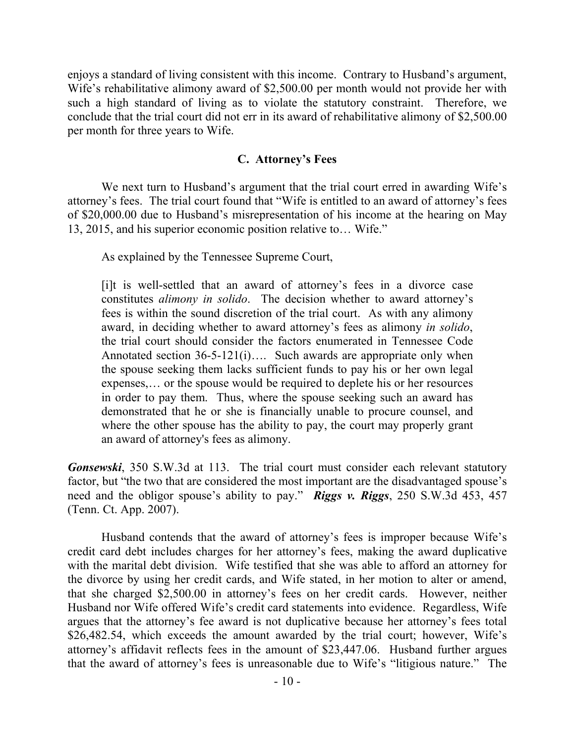enjoys a standard of living consistent with this income. Contrary to Husband's argument, Wife's rehabilitative alimony award of \$2,500.00 per month would not provide her with such a high standard of living as to violate the statutory constraint. Therefore, we conclude that the trial court did not err in its award of rehabilitative alimony of \$2,500.00 per month for three years to Wife.

## **C. Attorney's Fees**

We next turn to Husband's argument that the trial court erred in awarding Wife's attorney's fees. The trial court found that "Wife is entitled to an award of attorney's fees of \$20,000.00 due to Husband's misrepresentation of his income at the hearing on May 13, 2015, and his superior economic position relative to… Wife."

As explained by the Tennessee Supreme Court,

[i]t is well-settled that an award of attorney's fees in a divorce case constitutes *alimony in solido*. The decision whether to award attorney's fees is within the sound discretion of the trial court. As with any alimony award, in deciding whether to award attorney's fees as alimony *in solido*, the trial court should consider the factors enumerated in Tennessee Code Annotated section 36-5-121(i)…. Such awards are appropriate only when the spouse seeking them lacks sufficient funds to pay his or her own legal expenses,… or the spouse would be required to deplete his or her resources in order to pay them. Thus, where the spouse seeking such an award has demonstrated that he or she is financially unable to procure counsel, and where the other spouse has the ability to pay, the court may properly grant an award of attorney's fees as alimony.

*Gonsewski*, 350 S.W.3d at 113. The trial court must consider each relevant statutory factor, but "the two that are considered the most important are the disadvantaged spouse's need and the obligor spouse's ability to pay." *Riggs v. Riggs*, 250 S.W.3d 453, 457 (Tenn. Ct. App. 2007).

Husband contends that the award of attorney's fees is improper because Wife's credit card debt includes charges for her attorney's fees, making the award duplicative with the marital debt division. Wife testified that she was able to afford an attorney for the divorce by using her credit cards, and Wife stated, in her motion to alter or amend, that she charged \$2,500.00 in attorney's fees on her credit cards. However, neither Husband nor Wife offered Wife's credit card statements into evidence. Regardless, Wife argues that the attorney's fee award is not duplicative because her attorney's fees total \$26,482.54, which exceeds the amount awarded by the trial court; however, Wife's attorney's affidavit reflects fees in the amount of \$23,447.06. Husband further argues that the award of attorney's fees is unreasonable due to Wife's "litigious nature." The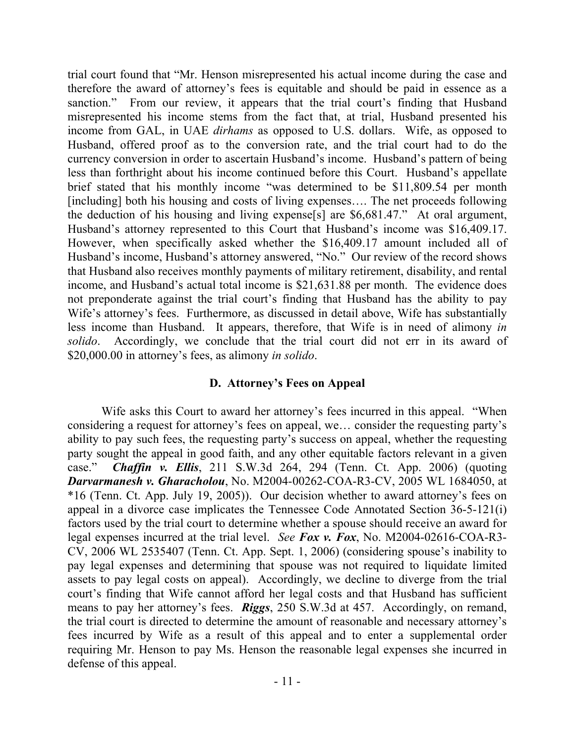trial court found that "Mr. Henson misrepresented his actual income during the case and therefore the award of attorney's fees is equitable and should be paid in essence as a sanction." From our review, it appears that the trial court's finding that Husband misrepresented his income stems from the fact that, at trial, Husband presented his income from GAL, in UAE *dirhams* as opposed to U.S. dollars. Wife, as opposed to Husband, offered proof as to the conversion rate, and the trial court had to do the currency conversion in order to ascertain Husband's income. Husband's pattern of being less than forthright about his income continued before this Court. Husband's appellate brief stated that his monthly income "was determined to be \$11,809.54 per month [including] both his housing and costs of living expenses…. The net proceeds following the deduction of his housing and living expense[s] are \$6,681.47." At oral argument, Husband's attorney represented to this Court that Husband's income was \$16,409.17. However, when specifically asked whether the \$16,409.17 amount included all of Husband's income, Husband's attorney answered, "No." Our review of the record shows that Husband also receives monthly payments of military retirement, disability, and rental income, and Husband's actual total income is \$21,631.88 per month. The evidence does not preponderate against the trial court's finding that Husband has the ability to pay Wife's attorney's fees. Furthermore, as discussed in detail above, Wife has substantially less income than Husband. It appears, therefore, that Wife is in need of alimony *in solido*. Accordingly, we conclude that the trial court did not err in its award of \$20,000.00 in attorney's fees, as alimony *in solido*.

### **D. Attorney's Fees on Appeal**

Wife asks this Court to award her attorney's fees incurred in this appeal. "When considering a request for attorney's fees on appeal, we… consider the requesting party's ability to pay such fees, the requesting party's success on appeal, whether the requesting party sought the appeal in good faith, and any other equitable factors relevant in a given case." *Chaffin v. Ellis*, 211 S.W.3d 264, 294 (Tenn. Ct. App. 2006) (quoting *Darvarmanesh v. Gharacholou*, No. M2004-00262-COA-R3-CV, 2005 WL 1684050, at \*16 (Tenn. Ct. App. July 19, 2005)). Our decision whether to award attorney's fees on appeal in a divorce case implicates the Tennessee Code Annotated Section 36-5-121(i) factors used by the trial court to determine whether a spouse should receive an award for legal expenses incurred at the trial level. *See Fox v. Fox*, No. M2004-02616-COA-R3- CV, 2006 WL 2535407 (Tenn. Ct. App. Sept. 1, 2006) (considering spouse's inability to pay legal expenses and determining that spouse was not required to liquidate limited assets to pay legal costs on appeal). Accordingly, we decline to diverge from the trial court's finding that Wife cannot afford her legal costs and that Husband has sufficient means to pay her attorney's fees. *Riggs*, 250 S.W.3d at 457.Accordingly, on remand, the trial court is directed to determine the amount of reasonable and necessary attorney's fees incurred by Wife as a result of this appeal and to enter a supplemental order requiring Mr. Henson to pay Ms. Henson the reasonable legal expenses she incurred in defense of this appeal.